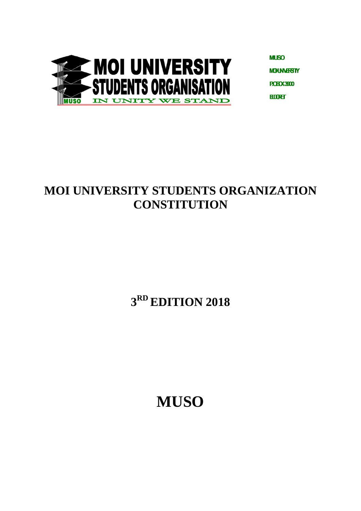

**MUSO MOUNWESTY PORX3900 HIOH** 

# **MOI UNIVERSITY STUDENTS ORGANIZATION CONSTITUTION**

# **3 RD EDITION 2018**

**MUSO**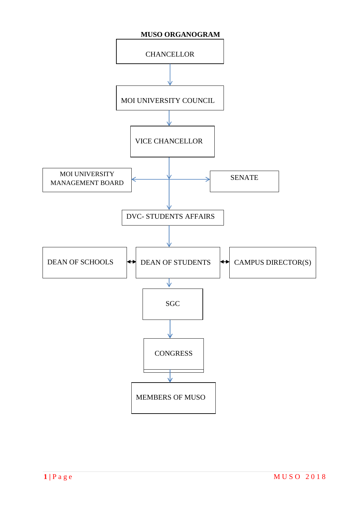<span id="page-1-0"></span>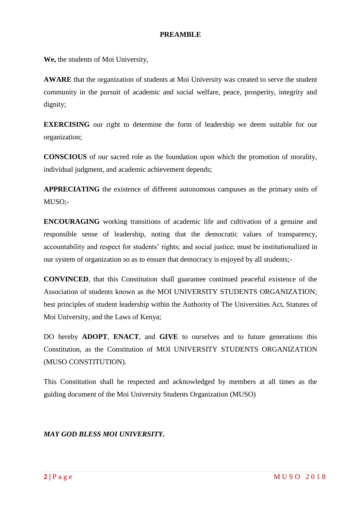## **PREAMBLE**

<span id="page-2-0"></span>**We,** the students of Moi University,

**AWARE** that the organization of students at Moi University was created to serve the student community in the pursuit of academic and social welfare, peace, prosperity, integrity and dignity;

**EXERCISING** our right to determine the form of leadership we deem suitable for our organization;

**CONSCIOUS** of our sacred role as the foundation upon which the promotion of morality, individual judgment, and academic achievement depends;

**APPRECIATING** the existence of different autonomous campuses as the primary units of MUSO;-

**ENCOURAGING** working transitions of academic life and cultivation of a genuine and responsible sense of leadership, noting that the democratic values of transparency, accountability and respect for students' rights; and social justice, must be institutionalized in our system of organization so as to ensure that democracy is enjoyed by all students;-

**CONVINCED**, that this Constitution shall guarantee continued peaceful existence of the Association of students known as the MOI UNIVERSITY STUDENTS ORGANIZATION; best principles of student leadership within the Authority of The Universities Act, Statutes of Moi University, and the Laws of Kenya;

DO hereby **ADOPT**, **ENACT**, and **GIVE** to ourselves and to future generations this Constitution, as the Constitution of MOI UNIVERSITY STUDENTS ORGANIZATION (MUSO CONSTITUTION).

This Constitution shall be respected and acknowledged by members at all times as the guiding document of the Moi University Students Organization (MUSO)

## *MAY GOD BLESS MOI UNIVERSITY.*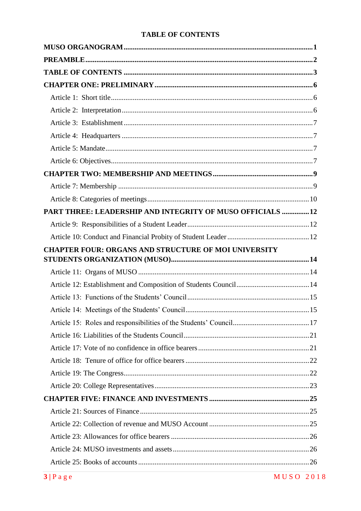## **TABLE OF CONTENTS**

<span id="page-3-0"></span>

| PART THREE: LEADERSHIP AND INTEGRITY OF MUSO OFFICIALS 12   |  |
|-------------------------------------------------------------|--|
|                                                             |  |
|                                                             |  |
| <b>CHAPTER FOUR: ORGANS AND STRUCTURE OF MOI UNIVERSITY</b> |  |
|                                                             |  |
|                                                             |  |
|                                                             |  |
|                                                             |  |
|                                                             |  |
|                                                             |  |
|                                                             |  |
|                                                             |  |
|                                                             |  |
|                                                             |  |
|                                                             |  |
|                                                             |  |
|                                                             |  |
|                                                             |  |
|                                                             |  |
|                                                             |  |
|                                                             |  |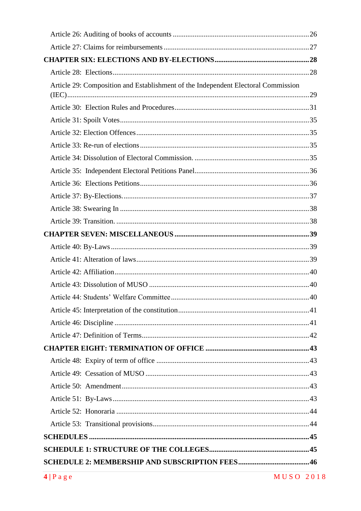| Article 29: Composition and Establishment of the Independent Electoral Commission |  |
|-----------------------------------------------------------------------------------|--|
|                                                                                   |  |
|                                                                                   |  |
|                                                                                   |  |
|                                                                                   |  |
|                                                                                   |  |
|                                                                                   |  |
|                                                                                   |  |
|                                                                                   |  |
|                                                                                   |  |
|                                                                                   |  |
|                                                                                   |  |
|                                                                                   |  |
|                                                                                   |  |
|                                                                                   |  |
|                                                                                   |  |
|                                                                                   |  |
|                                                                                   |  |
|                                                                                   |  |
|                                                                                   |  |
|                                                                                   |  |
|                                                                                   |  |
|                                                                                   |  |
|                                                                                   |  |
|                                                                                   |  |
|                                                                                   |  |
|                                                                                   |  |
|                                                                                   |  |
|                                                                                   |  |
|                                                                                   |  |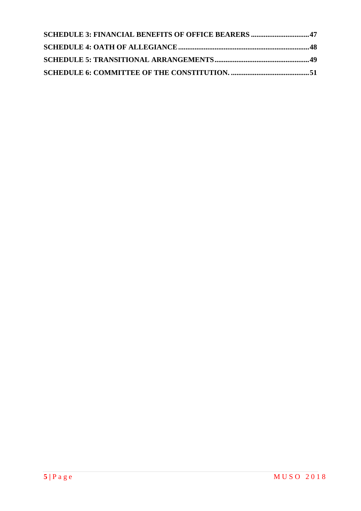| <b>SCHEDULE 3: FINANCIAL BENEFITS OF OFFICE BEARERS 47</b> |  |
|------------------------------------------------------------|--|
|                                                            |  |
|                                                            |  |
|                                                            |  |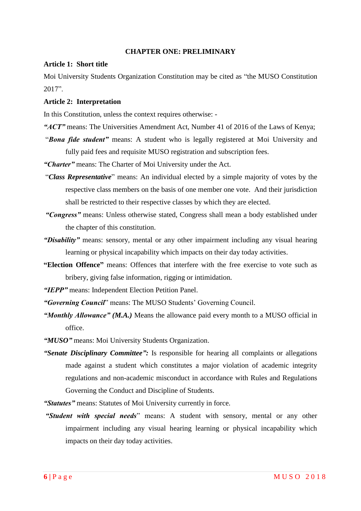#### **CHAPTER ONE: PRELIMINARY**

#### <span id="page-6-1"></span><span id="page-6-0"></span>**Article 1: Short title**

Moi University Students Organization Constitution may be cited as "the MUSO Constitution 2017".

#### <span id="page-6-2"></span>**Article 2: Interpretation**

In this Constitution, unless the context requires otherwise: -

- *"ACT"* means: The Universities Amendment Act, Number 41 of 2016 of the Laws of Kenya;
- "*Bona fide student"* means: A student who is legally registered at Moi University and fully paid fees and requisite MUSO registration and subscription fees.

*"Charter"* means: The Charter of Moi University under the Act.

- "*Class Representative*" means: An individual elected by a simple majority of votes by the respective class members on the basis of one member one vote. And their jurisdiction shall be restricted to their respective classes by which they are elected.
- *"Congress"* means: Unless otherwise stated, Congress shall mean a body established under the chapter of this constitution.
- *"Disability"* means: sensory, mental or any other impairment including any visual hearing learning or physical incapability which impacts on their day today activities.
- **"Election Offence"** means: Offences that interfere with the free exercise to vote such as bribery, giving false information, rigging or intimidation.
- *"IEPP"* means: Independent Election Petition Panel.
- *"Governing Council*" means: The MUSO Students" Governing Council.
- *"Monthly Allowance" (M.A.)* Means the allowance paid every month to a MUSO official in office.
- *"MUSO"* means: Moi University Students Organization.
- *"Senate Disciplinary Committee":* Is responsible for hearing all complaints or allegations made against a student which constitutes a major violation of academic integrity regulations and non-academic misconduct in accordance with Rules and Regulations Governing the Conduct and Discipline of Students.

*"Statutes"* means: Statutes of Moi University currently in force.

*"Student with special needs*" means: A student with sensory, mental or any other impairment including any visual hearing learning or physical incapability which impacts on their day today activities.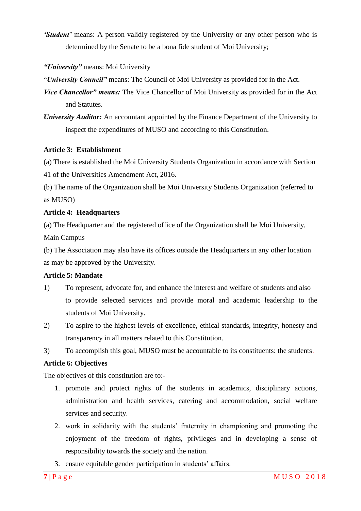*'Student'* means: A person validly registered by the University or any other person who is determined by the Senate to be a bona fide student of Moi University;

*"University"* means: Moi University

"*University Council"* means: The Council of Moi University as provided for in the Act.

- *Vice Chancellor" means:* The Vice Chancellor of Moi University as provided for in the Act and Statutes.
- *University Auditor:* An accountant appointed by the Finance Department of the University to inspect the expenditures of MUSO and according to this Constitution.

## <span id="page-7-0"></span>**Article 3: Establishment**

(a) There is established the Moi University Students Organization in accordance with Section

41 of the Universities Amendment Act, 2016.

(b) The name of the Organization shall be Moi University Students Organization (referred to as MUSO)

## <span id="page-7-1"></span>**Article 4: Headquarters**

(a) The Headquarter and the registered office of the Organization shall be Moi University, Main Campus

(b) The Association may also have its offices outside the Headquarters in any other location as may be approved by the University.

## <span id="page-7-2"></span>**Article 5: Mandate**

- 1) To represent, advocate for, and enhance the interest and welfare of students and also to provide selected services and provide moral and academic leadership to the students of Moi University.
- 2) To aspire to the highest levels of excellence, ethical standards, integrity, honesty and transparency in all matters related to this Constitution.
- 3) To accomplish this goal, MUSO must be accountable to its constituents: the students.

## <span id="page-7-3"></span>**Article 6: Objectives**

The objectives of this constitution are to:-

- 1. promote and protect rights of the students in academics, disciplinary actions, administration and health services, catering and accommodation, social welfare services and security.
- 2. work in solidarity with the students" fraternity in championing and promoting the enjoyment of the freedom of rights, privileges and in developing a sense of responsibility towards the society and the nation.
- 3. ensure equitable gender participation in students' affairs.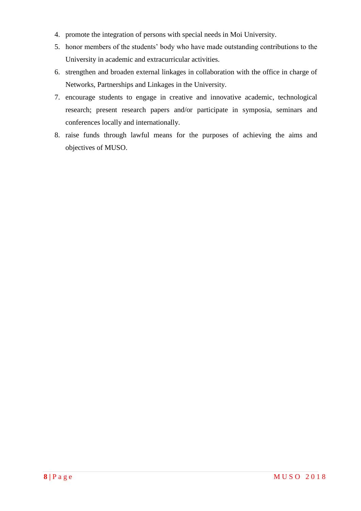- 4. promote the integration of persons with special needs in Moi University.
- 5. honor members of the students" body who have made outstanding contributions to the University in academic and extracurricular activities.
- 6. strengthen and broaden external linkages in collaboration with the office in charge of Networks, Partnerships and Linkages in the University.
- 7. encourage students to engage in creative and innovative academic, technological research; present research papers and/or participate in symposia, seminars and conferences locally and internationally.
- 8. raise funds through lawful means for the purposes of achieving the aims and objectives of MUSO.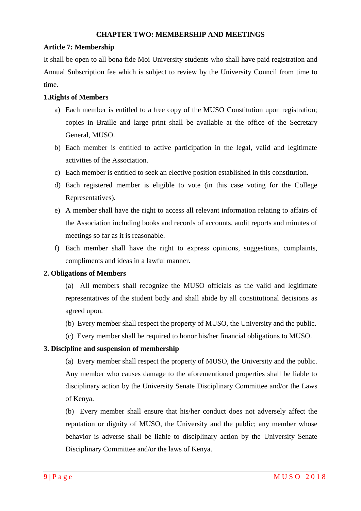#### **CHAPTER TWO: MEMBERSHIP AND MEETINGS**

## <span id="page-9-1"></span><span id="page-9-0"></span>**Article 7: Membership**

It shall be open to all bona fide Moi University students who shall have paid registration and Annual Subscription fee which is subject to review by the University Council from time to time.

## **1.Rights of Members**

- a) Each member is entitled to a free copy of the MUSO Constitution upon registration; copies in Braille and large print shall be available at the office of the Secretary General, MUSO.
- b) Each member is entitled to active participation in the legal, valid and legitimate activities of the Association.
- c) Each member is entitled to seek an elective position established in this constitution.
- d) Each registered member is eligible to vote (in this case voting for the College Representatives).
- e) A member shall have the right to access all relevant information relating to affairs of the Association including books and records of accounts, audit reports and minutes of meetings so far as it is reasonable.
- f) Each member shall have the right to express opinions, suggestions, complaints, compliments and ideas in a lawful manner.

## **2. Obligations of Members**

(a) All members shall recognize the MUSO officials as the valid and legitimate representatives of the student body and shall abide by all constitutional decisions as agreed upon.

- (b) Every member shall respect the property of MUSO, the University and the public.
- (c) Every member shall be required to honor his/her financial obligations to MUSO.

## **3. Discipline and suspension of membership**

(a) Every member shall respect the property of MUSO, the University and the public. Any member who causes damage to the aforementioned properties shall be liable to disciplinary action by the University Senate Disciplinary Committee and/or the Laws of Kenya.

(b) Every member shall ensure that his/her conduct does not adversely affect the reputation or dignity of MUSO, the University and the public; any member whose behavior is adverse shall be liable to disciplinary action by the University Senate Disciplinary Committee and/or the laws of Kenya.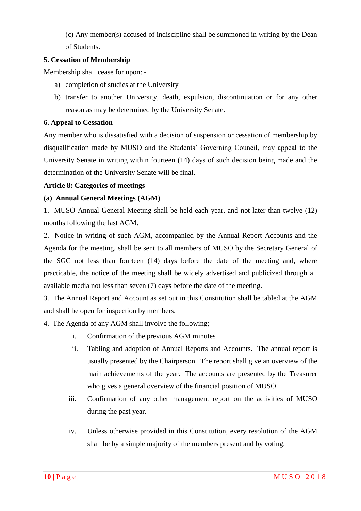(c) Any member(s) accused of indiscipline shall be summoned in writing by the Dean of Students.

## **5. Cessation of Membership**

Membership shall cease for upon: -

- a) completion of studies at the University
- b) transfer to another University, death, expulsion, discontinuation or for any other reason as may be determined by the University Senate.

## **6. Appeal to Cessation**

Any member who is dissatisfied with a decision of suspension or cessation of membership by disqualification made by MUSO and the Students" Governing Council, may appeal to the University Senate in writing within fourteen (14) days of such decision being made and the determination of the University Senate will be final.

#### <span id="page-10-0"></span>**Article 8: Categories of meetings**

## **(a) Annual General Meetings (AGM)**

1. MUSO Annual General Meeting shall be held each year, and not later than twelve (12) months following the last AGM.

2. Notice in writing of such AGM, accompanied by the Annual Report Accounts and the Agenda for the meeting, shall be sent to all members of MUSO by the Secretary General of the SGC not less than fourteen (14) days before the date of the meeting and, where practicable, the notice of the meeting shall be widely advertised and publicized through all available media not less than seven (7) days before the date of the meeting.

3. The Annual Report and Account as set out in this Constitution shall be tabled at the AGM and shall be open for inspection by members.

4. The Agenda of any AGM shall involve the following;

- i. Confirmation of the previous AGM minutes
- ii. Tabling and adoption of Annual Reports and Accounts. The annual report is usually presented by the Chairperson. The report shall give an overview of the main achievements of the year. The accounts are presented by the Treasurer who gives a general overview of the financial position of MUSO.
- iii. Confirmation of any other management report on the activities of MUSO during the past year.
- iv. Unless otherwise provided in this Constitution, every resolution of the AGM shall be by a simple majority of the members present and by voting.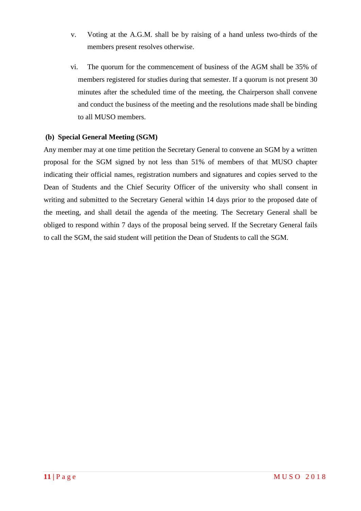- v. Voting at the A.G.M. shall be by raising of a hand unless two-thirds of the members present resolves otherwise.
- vi. The quorum for the commencement of business of the AGM shall be 35% of members registered for studies during that semester. If a quorum is not present 30 minutes after the scheduled time of the meeting, the Chairperson shall convene and conduct the business of the meeting and the resolutions made shall be binding to all MUSO members.

## **(b) Special General Meeting (SGM)**

Any member may at one time petition the Secretary General to convene an SGM by a written proposal for the SGM signed by not less than 51% of members of that MUSO chapter indicating their official names, registration numbers and signatures and copies served to the Dean of Students and the Chief Security Officer of the university who shall consent in writing and submitted to the Secretary General within 14 days prior to the proposed date of the meeting, and shall detail the agenda of the meeting. The Secretary General shall be obliged to respond within 7 days of the proposal being served. If the Secretary General fails to call the SGM, the said student will petition the Dean of Students to call the SGM.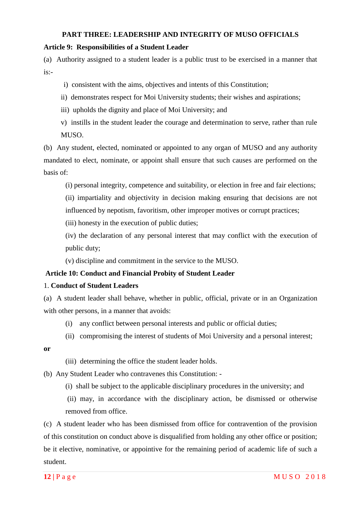### **PART THREE: LEADERSHIP AND INTEGRITY OF MUSO OFFICIALS**

## <span id="page-12-1"></span><span id="page-12-0"></span>**Article 9: Responsibilities of a Student Leader**

(a) Authority assigned to a student leader is a public trust to be exercised in a manner that  $i$ s:-

- i) consistent with the aims, objectives and intents of this Constitution;
- ii) demonstrates respect for Moi University students; their wishes and aspirations;
- iii) upholds the dignity and place of Moi University; and
- v) instills in the student leader the courage and determination to serve, rather than rule MUSO.

(b) Any student, elected, nominated or appointed to any organ of MUSO and any authority mandated to elect, nominate, or appoint shall ensure that such causes are performed on the basis of:

- (i) personal integrity, competence and suitability, or election in free and fair elections;
- (ii) impartiality and objectivity in decision making ensuring that decisions are not influenced by nepotism, favoritism, other improper motives or corrupt practices;

(iii) honesty in the execution of public duties;

(iv) the declaration of any personal interest that may conflict with the execution of public duty;

(v) discipline and commitment in the service to the MUSO.

## <span id="page-12-2"></span>**Article 10: Conduct and Financial Probity of Student Leader**

## 1. **Conduct of Student Leaders**

(a) A student leader shall behave, whether in public, official, private or in an Organization with other persons, in a manner that avoids:

- (i) any conflict between personal interests and public or official duties;
- (ii) compromising the interest of students of Moi University and a personal interest;

#### **or**

- (iii) determining the office the student leader holds.
- (b) Any Student Leader who contravenes this Constitution:
	- (i) shall be subject to the applicable disciplinary procedures in the university; and
	- (ii) may, in accordance with the disciplinary action, be dismissed or otherwise removed from office.

(c) A student leader who has been dismissed from office for contravention of the provision of this constitution on conduct above is disqualified from holding any other office or position; be it elective, nominative, or appointive for the remaining period of academic life of such a student.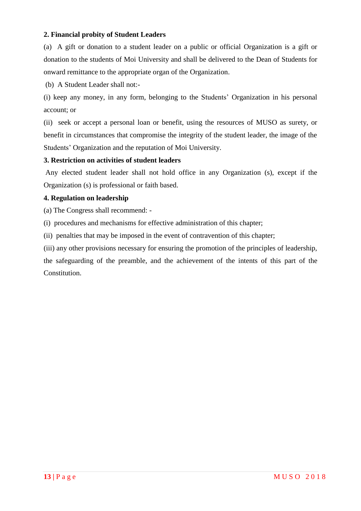## **2. Financial probity of Student Leaders**

(a) A gift or donation to a student leader on a public or official Organization is a gift or donation to the students of Moi University and shall be delivered to the Dean of Students for onward remittance to the appropriate organ of the Organization.

(b) A Student Leader shall not:-

(i) keep any money, in any form, belonging to the Students" Organization in his personal account; or

(ii) seek or accept a personal loan or benefit, using the resources of MUSO as surety, or benefit in circumstances that compromise the integrity of the student leader, the image of the Students" Organization and the reputation of Moi University.

## **3. Restriction on activities of student leaders**

Any elected student leader shall not hold office in any Organization (s), except if the Organization (s) is professional or faith based.

## **4. Regulation on leadership**

(a) The Congress shall recommend: -

(i) procedures and mechanisms for effective administration of this chapter;

(ii) penalties that may be imposed in the event of contravention of this chapter;

(iii) any other provisions necessary for ensuring the promotion of the principles of leadership,

the safeguarding of the preamble, and the achievement of the intents of this part of the Constitution.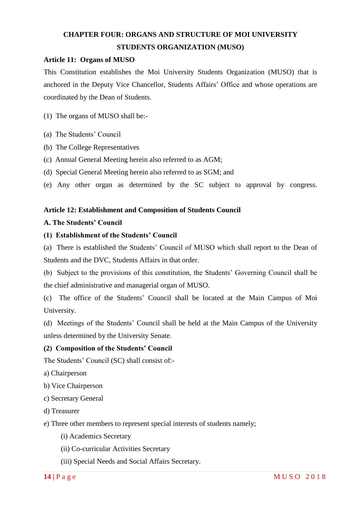# <span id="page-14-0"></span>**CHAPTER FOUR: ORGANS AND STRUCTURE OF MOI UNIVERSITY STUDENTS ORGANIZATION (MUSO)**

## <span id="page-14-1"></span>**Article 11: Organs of MUSO**

This Constitution establishes the Moi University Students Organization (MUSO) that is anchored in the Deputy Vice Chancellor, Students Affairs" Office and whose operations are coordinated by the Dean of Students.

- (1) The organs of MUSO shall be:-
- (a) The Students' Council
- (b) The College Representatives
- (c) Annual General Meeting herein also referred to as AGM;
- (d) Special General Meeting herein also referred to as SGM; and
- (e) Any other organ as determined by the SC subject to approval by congress.

#### <span id="page-14-2"></span>**Article 12: Establishment and Composition of Students Council**

#### **A. The Students' Council**

#### **(1) Establishment of the Students' Council**

(a) There is established the Students" Council of MUSO which shall report to the Dean of Students and the DVC, Students Affairs in that order.

(b) Subject to the provisions of this constitution, the Students" Governing Council shall be the chief administrative and managerial organ of MUSO.

(c) The office of the Students" Council shall be located at the Main Campus of Moi University.

(d) Meetings of the Students" Council shall be held at the Main Campus of the University unless determined by the University Senate.

#### **(2) Composition of the Students' Council**

The Students' Council (SC) shall consist of:-

- a) Chairperson
- b) Vice Chairperson
- c) Secretary General
- d) Treasurer

e) Three other members to represent special interests of students namely;

- (i) Academics Secretary
- (ii) Co-curricular Activities Secretary
- (iii) Special Needs and Social Affairs Secretary.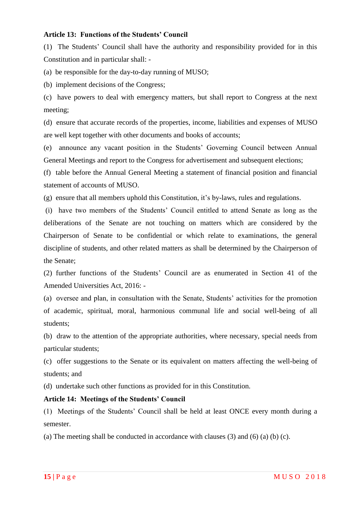## <span id="page-15-0"></span>**Article 13: Functions of the Students' Council**

(1) The Students" Council shall have the authority and responsibility provided for in this Constitution and in particular shall: -

(a) be responsible for the day-to-day running of MUSO;

(b) implement decisions of the Congress;

(c) have powers to deal with emergency matters, but shall report to Congress at the next meeting;

(d) ensure that accurate records of the properties, income, liabilities and expenses of MUSO are well kept together with other documents and books of accounts;

(e) announce any vacant position in the Students" Governing Council between Annual General Meetings and report to the Congress for advertisement and subsequent elections;

(f) table before the Annual General Meeting a statement of financial position and financial statement of accounts of MUSO.

(g) ensure that all members uphold this Constitution, it"s by-laws, rules and regulations.

(i) have two members of the Students" Council entitled to attend Senate as long as the deliberations of the Senate are not touching on matters which are considered by the Chairperson of Senate to be confidential or which relate to examinations, the general discipline of students, and other related matters as shall be determined by the Chairperson of the Senate;

(2) further functions of the Students" Council are as enumerated in Section 41 of the Amended Universities Act, 2016: -

(a) oversee and plan, in consultation with the Senate, Students" activities for the promotion of academic, spiritual, moral, harmonious communal life and social well-being of all students;

(b) draw to the attention of the appropriate authorities, where necessary, special needs from particular students;

(c) offer suggestions to the Senate or its equivalent on matters affecting the well-being of students; and

(d) undertake such other functions as provided for in this Constitution.

#### <span id="page-15-1"></span>**Article 14: Meetings of the Students' Council**

(1) Meetings of the Students" Council shall be held at least ONCE every month during a semester.

(a) The meeting shall be conducted in accordance with clauses (3) and (6) (a) (b) (c).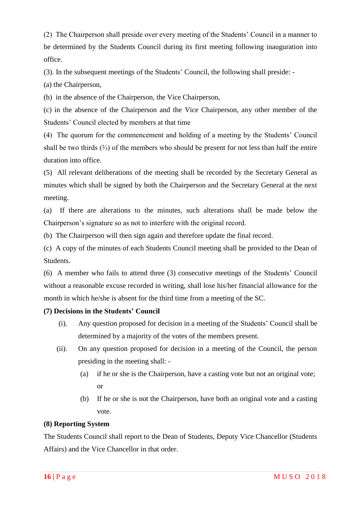(2) The Chairperson shall preside over every meeting of the Students" Council in a manner to be determined by the Students Council during its first meeting following inauguration into office.

(3). In the subsequent meetings of the Students" Council, the following shall preside: -

(a) the Chairperson,

(b) in the absence of the Chairperson, the Vice Chairperson,

(c) in the absence of the Chairperson and the Vice Chairperson, any other member of the Students" Council elected by members at that time

(4) The quorum for the commencement and holding of a meeting by the Students" Council shall be two thirds (⅔) of the members who should be present for not less than half the entire duration into office.

(5) All relevant deliberations of the meeting shall be recorded by the Secretary General as minutes which shall be signed by both the Chairperson and the Secretary General at the next meeting.

(a) If there are alterations to the minutes, such alterations shall be made below the Chairperson"s signature so as not to interfere with the original record.

(b) The Chairperson will then sign again and therefore update the final record.

(c) A copy of the minutes of each Students Council meeting shall be provided to the Dean of Students.

(6) A member who fails to attend three (3) consecutive meetings of the Students" Council without a reasonable excuse recorded in writing, shall lose his/her financial allowance for the month in which he/she is absent for the third time from a meeting of the SC.

## **(7) Decisions in the Students' Council**

- (i). Any question proposed for decision in a meeting of the Students" Council shall be determined by a majority of the votes of the members present.
- (ii). On any question proposed for decision in a meeting of the Council, the person presiding in the meeting shall: -
	- (a) if he or she is the Chairperson, have a casting vote but not an original vote; or
	- (b) If he or she is not the Chairperson, have both an original vote and a casting vote.

## **(8) Reporting System**

The Students Council shall report to the Dean of Students, Deputy Vice Chancellor (Students Affairs) and the Vice Chancellor in that order.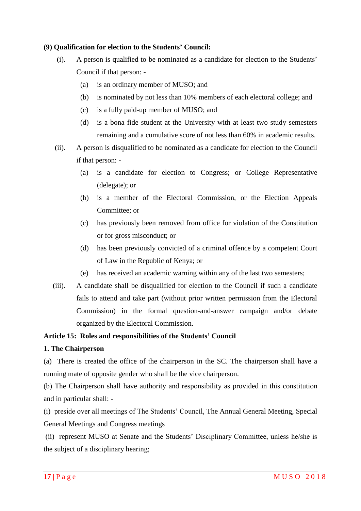## **(9) Qualification for election to the Students' Council:**

- (i). A person is qualified to be nominated as a candidate for election to the Students" Council if that person: -
	- (a) is an ordinary member of MUSO; and
	- (b) is nominated by not less than 10% members of each electoral college; and
	- (c) is a fully paid-up member of MUSO; and
	- (d) is a bona fide student at the University with at least two study semesters remaining and a cumulative score of not less than 60% in academic results.
- (ii). A person is disqualified to be nominated as a candidate for election to the Council if that person: -
	- (a) is a candidate for election to Congress; or College Representative (delegate); or
	- (b) is a member of the Electoral Commission, or the Election Appeals Committee; or
	- (c) has previously been removed from office for violation of the Constitution or for gross misconduct; or
	- (d) has been previously convicted of a criminal offence by a competent Court of Law in the Republic of Kenya; or
	- (e) has received an academic warning within any of the last two semesters;
- (iii). A candidate shall be disqualified for election to the Council if such a candidate fails to attend and take part (without prior written permission from the Electoral Commission) in the formal question-and-answer campaign and/or debate organized by the Electoral Commission.

## <span id="page-17-0"></span>**Article 15: Roles and responsibilities of the Students' Council**

## **1. The Chairperson**

(a) There is created the office of the chairperson in the SC. The chairperson shall have a running mate of opposite gender who shall be the vice chairperson.

(b) The Chairperson shall have authority and responsibility as provided in this constitution and in particular shall: -

(i) preside over all meetings of The Students" Council, The Annual General Meeting, Special General Meetings and Congress meetings

(ii) represent MUSO at Senate and the Students" Disciplinary Committee, unless he/she is the subject of a disciplinary hearing;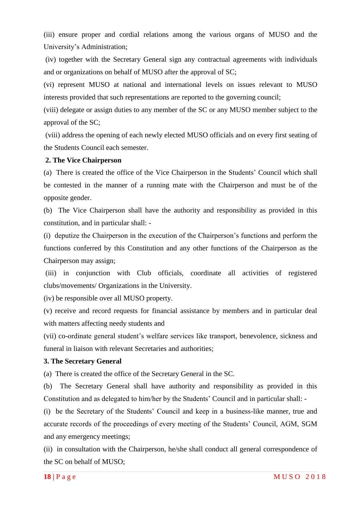(iii) ensure proper and cordial relations among the various organs of MUSO and the University"s Administration;

(iv) together with the Secretary General sign any contractual agreements with individuals and or organizations on behalf of MUSO after the approval of SC;

(vi) represent MUSO at national and international levels on issues relevant to MUSO interests provided that such representations are reported to the governing council;

(viii) delegate or assign duties to any member of the SC or any MUSO member subject to the approval of the SC;

(viii) address the opening of each newly elected MUSO officials and on every first seating of the Students Council each semester.

#### **2. The Vice Chairperson**

(a) There is created the office of the Vice Chairperson in the Students" Council which shall be contested in the manner of a running mate with the Chairperson and must be of the opposite gender.

(b) The Vice Chairperson shall have the authority and responsibility as provided in this constitution, and in particular shall: -

(i) deputize the Chairperson in the execution of the Chairperson"s functions and perform the functions conferred by this Constitution and any other functions of the Chairperson as the Chairperson may assign;

(iii) in conjunction with Club officials, coordinate all activities of registered clubs/movements/ Organizations in the University.

(iv) be responsible over all MUSO property.

(v) receive and record requests for financial assistance by members and in particular deal with matters affecting needy students and

(vii) co-ordinate general student"s welfare services like transport, benevolence, sickness and funeral in liaison with relevant Secretaries and authorities;

#### **3. The Secretary General**

(a) There is created the office of the Secretary General in the SC.

(b) The Secretary General shall have authority and responsibility as provided in this Constitution and as delegated to him/her by the Students' Council and in particular shall: -

(i) be the Secretary of the Students" Council and keep in a business-like manner, true and accurate records of the proceedings of every meeting of the Students" Council, AGM, SGM and any emergency meetings;

(ii) in consultation with the Chairperson, he/she shall conduct all general correspondence of the SC on behalf of MUSO;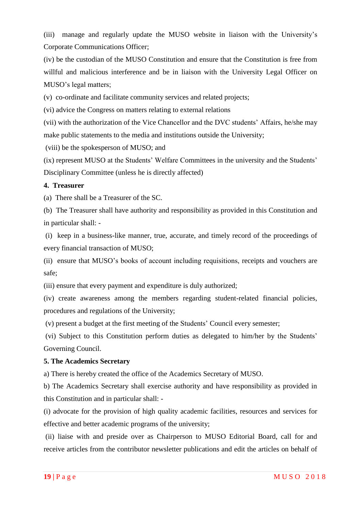(iii) manage and regularly update the MUSO website in liaison with the University"s Corporate Communications Officer;

(iv) be the custodian of the MUSO Constitution and ensure that the Constitution is free from willful and malicious interference and be in liaison with the University Legal Officer on MUSO"s legal matters;

(v) co-ordinate and facilitate community services and related projects;

(vi) advice the Congress on matters relating to external relations

(vii) with the authorization of the Vice Chancellor and the DVC students" Affairs, he/she may make public statements to the media and institutions outside the University;

(viii) be the spokesperson of MUSO; and

(ix) represent MUSO at the Students' Welfare Committees in the university and the Students' Disciplinary Committee (unless he is directly affected)

## **4. Treasurer**

(a) There shall be a Treasurer of the SC.

(b) The Treasurer shall have authority and responsibility as provided in this Constitution and in particular shall: -

(i) keep in a business-like manner, true, accurate, and timely record of the proceedings of every financial transaction of MUSO;

(ii) ensure that MUSO"s books of account including requisitions, receipts and vouchers are safe;

(iii) ensure that every payment and expenditure is duly authorized;

(iv) create awareness among the members regarding student-related financial policies, procedures and regulations of the University;

(v) present a budget at the first meeting of the Students" Council every semester;

(vi) Subject to this Constitution perform duties as delegated to him/her by the Students" Governing Council.

## **5. The Academics Secretary**

a) There is hereby created the office of the Academics Secretary of MUSO.

b) The Academics Secretary shall exercise authority and have responsibility as provided in this Constitution and in particular shall: -

(i) advocate for the provision of high quality academic facilities, resources and services for effective and better academic programs of the university;

(ii) liaise with and preside over as Chairperson to MUSO Editorial Board, call for and receive articles from the contributor newsletter publications and edit the articles on behalf of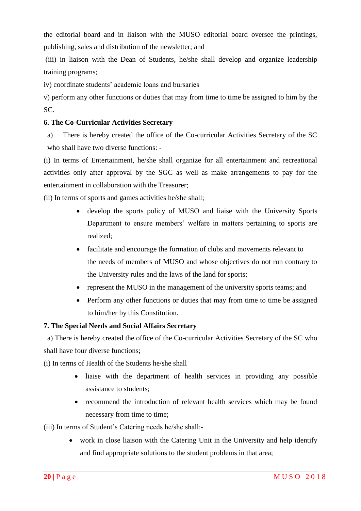the editorial board and in liaison with the MUSO editorial board oversee the printings, publishing, sales and distribution of the newsletter; and

(iii) in liaison with the Dean of Students, he/she shall develop and organize leadership training programs;

iv) coordinate students' academic loans and bursaries

v) perform any other functions or duties that may from time to time be assigned to him by the SC.

## **6. The Co-Curricular Activities Secretary**

a) There is hereby created the office of the Co-curricular Activities Secretary of the SC who shall have two diverse functions: -

(i) In terms of Entertainment, he/she shall organize for all entertainment and recreational activities only after approval by the SGC as well as make arrangements to pay for the entertainment in collaboration with the Treasurer;

(ii) In terms of sports and games activities he/she shall;

- develop the sports policy of MUSO and liaise with the University Sports Department to ensure members" welfare in matters pertaining to sports are realized;
- facilitate and encourage the formation of clubs and movements relevant to the needs of members of MUSO and whose objectives do not run contrary to the University rules and the laws of the land for sports;
- represent the MUSO in the management of the university sports teams; and
- Perform any other functions or duties that may from time to time be assigned to him/her by this Constitution.

## **7. The Special Needs and Social Affairs Secretary**

 a) There is hereby created the office of the Co-curricular Activities Secretary of the SC who shall have four diverse functions;

(i) In terms of Health of the Students he/she shall

- liaise with the department of health services in providing any possible assistance to students;
- recommend the introduction of relevant health services which may be found necessary from time to time;

(iii) In terms of Student"s Catering needs he/she shall:-

 work in close liaison with the Catering Unit in the University and help identify and find appropriate solutions to the student problems in that area;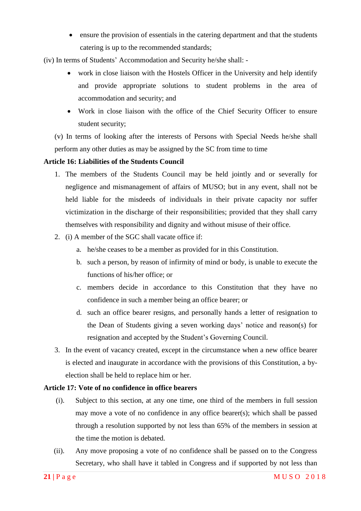ensure the provision of essentials in the catering department and that the students catering is up to the recommended standards;

(iv) In terms of Students" Accommodation and Security he/she shall: -

- work in close liaison with the Hostels Officer in the University and help identify and provide appropriate solutions to student problems in the area of accommodation and security; and
- Work in close liaison with the office of the Chief Security Officer to ensure student security;

(v) In terms of looking after the interests of Persons with Special Needs he/she shall perform any other duties as may be assigned by the SC from time to time

## <span id="page-21-0"></span>**Article 16: Liabilities of the Students Council**

- 1. The members of the Students Council may be held jointly and or severally for negligence and mismanagement of affairs of MUSO; but in any event, shall not be held liable for the misdeeds of individuals in their private capacity nor suffer victimization in the discharge of their responsibilities; provided that they shall carry themselves with responsibility and dignity and without misuse of their office.
- 2. (i) A member of the SGC shall vacate office if:
	- a. he/she ceases to be a member as provided for in this Constitution.
	- b. such a person, by reason of infirmity of mind or body, is unable to execute the functions of his/her office; or
	- c. members decide in accordance to this Constitution that they have no confidence in such a member being an office bearer; or
	- d. such an office bearer resigns, and personally hands a letter of resignation to the Dean of Students giving a seven working days" notice and reason(s) for resignation and accepted by the Student"s Governing Council.
- 3. In the event of vacancy created, except in the circumstance when a new office bearer is elected and inaugurate in accordance with the provisions of this Constitution, a byelection shall be held to replace him or her.

## <span id="page-21-1"></span>**Article 17: Vote of no confidence in office bearers**

- (i). Subject to this section, at any one time, one third of the members in full session may move a vote of no confidence in any office bearer(s); which shall be passed through a resolution supported by not less than 65% of the members in session at the time the motion is debated.
- (ii). Any move proposing a vote of no confidence shall be passed on to the Congress Secretary, who shall have it tabled in Congress and if supported by not less than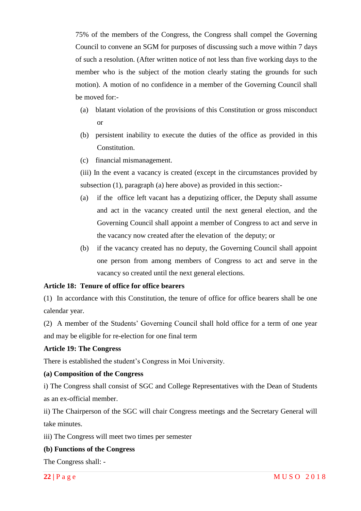75% of the members of the Congress, the Congress shall compel the Governing Council to convene an SGM for purposes of discussing such a move within 7 days of such a resolution. (After written notice of not less than five working days to the member who is the subject of the motion clearly stating the grounds for such motion). A motion of no confidence in a member of the Governing Council shall be moved for:-

- (a) blatant violation of the provisions of this Constitution or gross misconduct or
- (b) persistent inability to execute the duties of the office as provided in this Constitution.
- (c) financial mismanagement.

(iii) In the event a vacancy is created (except in the circumstances provided by subsection (1), paragraph (a) here above) as provided in this section:-

- (a) if the office left vacant has a deputizing officer, the Deputy shall assume and act in the vacancy created until the next general election, and the Governing Council shall appoint a member of Congress to act and serve in the vacancy now created after the elevation of the deputy; or
- (b) if the vacancy created has no deputy, the Governing Council shall appoint one person from among members of Congress to act and serve in the vacancy so created until the next general elections.

## <span id="page-22-0"></span>**Article 18: Tenure of office for office bearers**

(1) In accordance with this Constitution, the tenure of office for office bearers shall be one calendar year.

(2) A member of the Students" Governing Council shall hold office for a term of one year and may be eligible for re-election for one final term

#### <span id="page-22-1"></span>**Article 19: The Congress**

There is established the student"s Congress in Moi University.

#### **(a) Composition of the Congress**

i) The Congress shall consist of SGC and College Representatives with the Dean of Students as an ex-official member.

ii) The Chairperson of the SGC will chair Congress meetings and the Secretary General will take minutes.

iii) The Congress will meet two times per semester

#### **(b) Functions of the Congress**

The Congress shall: -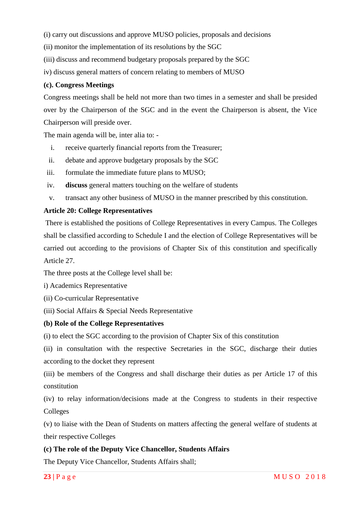(i) carry out discussions and approve MUSO policies, proposals and decisions

(ii) monitor the implementation of its resolutions by the SGC

(iii) discuss and recommend budgetary proposals prepared by the SGC

iv) discuss general matters of concern relating to members of MUSO

#### **(c). Congress Meetings**

Congress meetings shall be held not more than two times in a semester and shall be presided over by the Chairperson of the SGC and in the event the Chairperson is absent, the Vice Chairperson will preside over.

The main agenda will be, inter alia to: -

- i. receive quarterly financial reports from the Treasurer;
- ii. debate and approve budgetary proposals by the SGC
- iii. formulate the immediate future plans to MUSO;
- iv. **discuss** general matters touching on the welfare of students
- v. transact any other business of MUSO in the manner prescribed by this constitution.

### <span id="page-23-0"></span>**Article 20: College Representatives**

There is established the positions of College Representatives in every Campus. The Colleges shall be classified according to Schedule I and the election of College Representatives will be carried out according to the provisions of Chapter Six of this constitution and specifically Article 27.

The three posts at the College level shall be:

i) Academics Representative

(ii) Co-curricular Representative

(iii) Social Affairs & Special Needs Representative

#### **(b) Role of the College Representatives**

(i) to elect the SGC according to the provision of Chapter Six of this constitution

(ii) in consultation with the respective Secretaries in the SGC, discharge their duties according to the docket they represent

(iii) be members of the Congress and shall discharge their duties as per Article 17 of this constitution

(iv) to relay information/decisions made at the Congress to students in their respective Colleges

(v) to liaise with the Dean of Students on matters affecting the general welfare of students at their respective Colleges

#### **(c) The role of the Deputy Vice Chancellor, Students Affairs**

The Deputy Vice Chancellor, Students Affairs shall;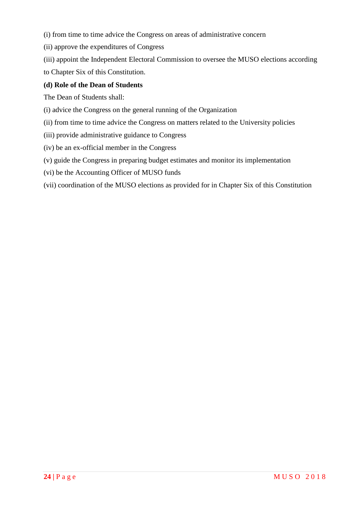- (i) from time to time advice the Congress on areas of administrative concern
- (ii) approve the expenditures of Congress
- (iii) appoint the Independent Electoral Commission to oversee the MUSO elections according to Chapter Six of this Constitution.

## **(d) Role of the Dean of Students**

The Dean of Students shall:

- (i) advice the Congress on the general running of the Organization
- (ii) from time to time advice the Congress on matters related to the University policies
- (iii) provide administrative guidance to Congress
- (iv) be an ex-official member in the Congress
- (v) guide the Congress in preparing budget estimates and monitor its implementation
- (vi) be the Accounting Officer of MUSO funds
- (vii) coordination of the MUSO elections as provided for in Chapter Six of this Constitution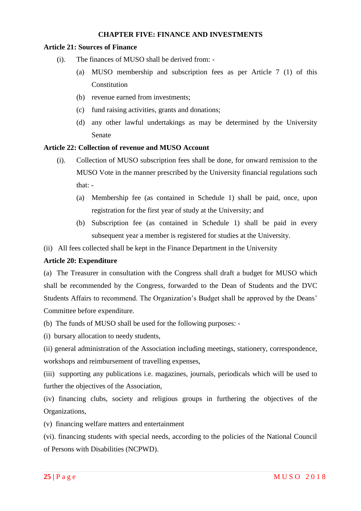## **CHAPTER FIVE: FINANCE AND INVESTMENTS**

#### <span id="page-25-1"></span><span id="page-25-0"></span>**Article 21: Sources of Finance**

- (i). The finances of MUSO shall be derived from:
	- (a) MUSO membership and subscription fees as per Article 7 (1) of this **Constitution**
	- (b) revenue earned from investments;
	- (c) fund raising activities, grants and donations;
	- (d) any other lawful undertakings as may be determined by the University Senate

#### <span id="page-25-2"></span>**Article 22: Collection of revenue and MUSO Account**

- (i). Collection of MUSO subscription fees shall be done, for onward remission to the MUSO Vote in the manner prescribed by the University financial regulations such that: -
	- (a) Membership fee (as contained in Schedule 1) shall be paid, once, upon registration for the first year of study at the University; and
	- (b) Subscription fee (as contained in Schedule 1) shall be paid in every subsequent year a member is registered for studies at the University.
- (ii) All fees collected shall be kept in the Finance Department in the University

#### **Article 20: Expenditure**

(a) The Treasurer in consultation with the Congress shall draft a budget for MUSO which shall be recommended by the Congress, forwarded to the Dean of Students and the DVC Students Affairs to recommend. The Organization's Budget shall be approved by the Deans' Committee before expenditure.

(b) The funds of MUSO shall be used for the following purposes: -

(i) bursary allocation to needy students,

(ii) general administration of the Association including meetings, stationery, correspondence, workshops and reimbursement of travelling expenses,

(iii) supporting any publications i.e. magazines, journals, periodicals which will be used to further the objectives of the Association,

(iv) financing clubs, society and religious groups in furthering the objectives of the Organizations,

(v) financing welfare matters and entertainment

(vi). financing students with special needs, according to the policies of the National Council of Persons with Disabilities (NCPWD).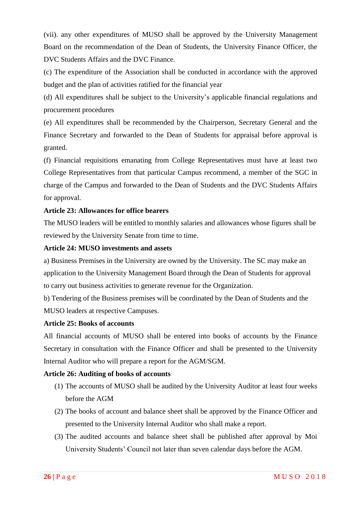(vii). any other expenditures of MUSO shall be approved by the University Management Board on the recommendation of the Dean of Students, the University Finance Officer, the DVC Students Affairs and the DVC Finance.

(c) The expenditure of the Association shall be conducted in accordance with the approved budget and the plan of activities ratified for the financial year

(d) All expenditures shall be subject to the University"s applicable financial regulations and procurement procedures

(e) All expenditures shall be recommended by the Chairperson, Secretary General and the Finance Secretary and forwarded to the Dean of Students for appraisal before approval is granted.

(f) Financial requisitions emanating from College Representatives must have at least two College Representatives from that particular Campus recommend, a member of the SGC in charge of the Campus and forwarded to the Dean of Students and the DVC Students Affairs for approval.

## <span id="page-26-0"></span>**Article 23: Allowances for office bearers**

The MUSO leaders will be entitled to monthly salaries and allowances whose figures shall be reviewed by the University Senate from time to time.

## <span id="page-26-1"></span>**Article 24: MUSO investments and assets**

a) Business Premises in the University are owned by the University. The SC may make an application to the University Management Board through the Dean of Students for approval to carry out business activities to generate revenue for the Organization.

b) Tendering of the Business premises will be coordinated by the Dean of Students and the MUSO leaders at respective Campuses.

## <span id="page-26-2"></span>**Article 25: Books of accounts**

All financial accounts of MUSO shall be entered into books of accounts by the Finance Secretary in consultation with the Finance Officer and shall be presented to the University Internal Auditor who will prepare a report for the AGM/SGM.

## <span id="page-26-3"></span>**Article 26: Auditing of books of accounts**

- (1) The accounts of MUSO shall be audited by the University Auditor at least four weeks before the AGM
- (2) The books of account and balance sheet shall be approved by the Finance Officer and presented to the University Internal Auditor who shall make a report.
- (3) The audited accounts and balance sheet shall be published after approval by Moi University Students" Council not later than seven calendar days before the AGM.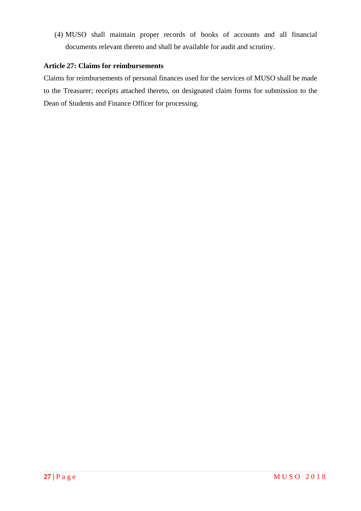(4) MUSO shall maintain proper records of books of accounts and all financial documents relevant thereto and shall be available for audit and scrutiny.

## <span id="page-27-0"></span>**Article 27: Claims for reimbursements**

Claims for reimbursements of personal finances used for the services of MUSO shall be made to the Treasurer; receipts attached thereto, on designated claim forms for submission to the Dean of Students and Finance Officer for processing.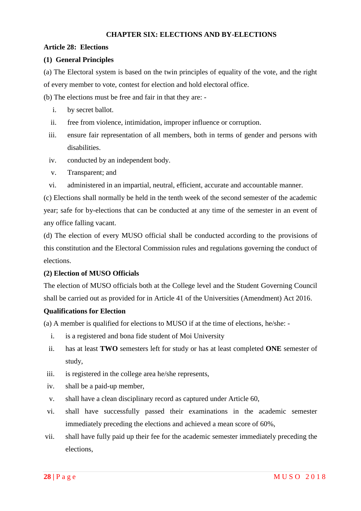#### <span id="page-28-0"></span>**CHAPTER SIX: ELECTIONS AND BY-ELECTIONS**

#### <span id="page-28-1"></span>**Article 28: Elections**

## **(1) General Principles**

(a) The Electoral system is based on the twin principles of equality of the vote, and the right of every member to vote, contest for election and hold electoral office.

(b) The elections must be free and fair in that they are: -

- i. by secret ballot.
- ii. free from violence, intimidation, improper influence or corruption.
- iii. ensure fair representation of all members, both in terms of gender and persons with disabilities.
- iv. conducted by an independent body.
- v. Transparent; and
- vi. administered in an impartial, neutral, efficient, accurate and accountable manner.

(c) Elections shall normally be held in the tenth week of the second semester of the academic year; safe for by-elections that can be conducted at any time of the semester in an event of any office falling vacant.

(d) The election of every MUSO official shall be conducted according to the provisions of this constitution and the Electoral Commission rules and regulations governing the conduct of elections.

## **(2) Election of MUSO Officials**

The election of MUSO officials both at the College level and the Student Governing Council shall be carried out as provided for in Article 41 of the Universities (Amendment) Act 2016.

## **Qualifications for Election**

(a) A member is qualified for elections to MUSO if at the time of elections, he/she: -

- i. is a registered and bona fide student of Moi University
- ii. has at least **TWO** semesters left for study or has at least completed **ONE** semester of study,
- iii. is registered in the college area he/she represents,
- iv. shall be a paid-up member,
- v. shall have a clean disciplinary record as captured under Article 60,
- vi. shall have successfully passed their examinations in the academic semester immediately preceding the elections and achieved a mean score of 60%,
- vii. shall have fully paid up their fee for the academic semester immediately preceding the elections,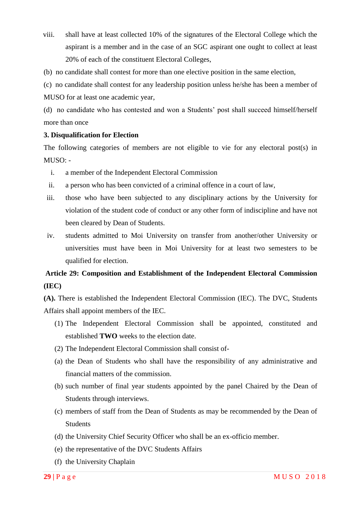- viii. shall have at least collected 10% of the signatures of the Electoral College which the aspirant is a member and in the case of an SGC aspirant one ought to collect at least 20% of each of the constituent Electoral Colleges,
- (b) no candidate shall contest for more than one elective position in the same election,

(c) no candidate shall contest for any leadership position unless he/she has been a member of MUSO for at least one academic year,

(d) no candidate who has contested and won a Students" post shall succeed himself/herself more than once

#### **3. Disqualification for Election**

The following categories of members are not eligible to vie for any electoral post(s) in MUSO: -

- i. a member of the Independent Electoral Commission
- ii. a person who has been convicted of a criminal offence in a court of law,
- iii. those who have been subjected to any disciplinary actions by the University for violation of the student code of conduct or any other form of indiscipline and have not been cleared by Dean of Students.
- iv. students admitted to Moi University on transfer from another/other University or universities must have been in Moi University for at least two semesters to be qualified for election.

# <span id="page-29-0"></span>**Article 29: Composition and Establishment of the Independent Electoral Commission (IEC)**

**(A).** There is established the Independent Electoral Commission (IEC). The DVC, Students Affairs shall appoint members of the IEC.

- (1) The Independent Electoral Commission shall be appointed, constituted and established **TWO** weeks to the election date.
- (2) The Independent Electoral Commission shall consist of-
- (a) the Dean of Students who shall have the responsibility of any administrative and financial matters of the commission.
- (b) such number of final year students appointed by the panel Chaired by the Dean of Students through interviews.
- (c) members of staff from the Dean of Students as may be recommended by the Dean of **Students**
- (d) the University Chief Security Officer who shall be an ex-officio member.
- (e) the representative of the DVC Students Affairs
- (f) the University Chaplain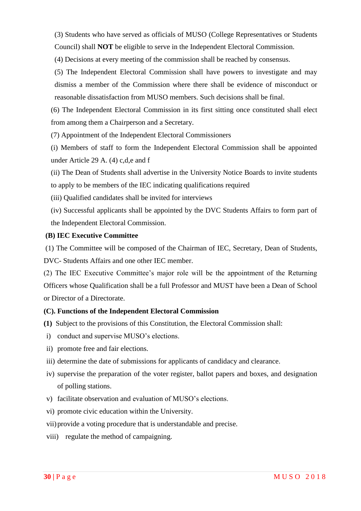(3) Students who have served as officials of MUSO (College Representatives or Students Council) shall **NOT** be eligible to serve in the Independent Electoral Commission.

(4) Decisions at every meeting of the commission shall be reached by consensus.

(5) The Independent Electoral Commission shall have powers to investigate and may dismiss a member of the Commission where there shall be evidence of misconduct or reasonable dissatisfaction from MUSO members. Such decisions shall be final.

(6) The Independent Electoral Commission in its first sitting once constituted shall elect from among them a Chairperson and a Secretary.

(7) Appointment of the Independent Electoral Commissioners

(i) Members of staff to form the Independent Electoral Commission shall be appointed under Article 29 A. (4) c,d,e and f

(ii) The Dean of Students shall advertise in the University Notice Boards to invite students to apply to be members of the IEC indicating qualifications required

- (iii) Qualified candidates shall be invited for interviews
- (iv) Successful applicants shall be appointed by the DVC Students Affairs to form part of the Independent Electoral Commission.

## **(B) IEC Executive Committee**

(1) The Committee will be composed of the Chairman of IEC, Secretary, Dean of Students, DVC- Students Affairs and one other IEC member.

(2) The IEC Executive Committee"s major role will be the appointment of the Returning Officers whose Qualification shall be a full Professor and MUST have been a Dean of School or Director of a Directorate.

## **(C). Functions of the Independent Electoral Commission**

**(1)** Subject to the provisions of this Constitution, the Electoral Commission shall:

- i) conduct and supervise MUSO"s elections.
- ii) promote free and fair elections.
- iii) determine the date of submissions for applicants of candidacy and clearance.
- iv) supervise the preparation of the voter register, ballot papers and boxes, and designation of polling stations.
- v) facilitate observation and evaluation of MUSO"s elections.
- vi) promote civic education within the University.
- vii)provide a voting procedure that is understandable and precise.
- viii) regulate the method of campaigning.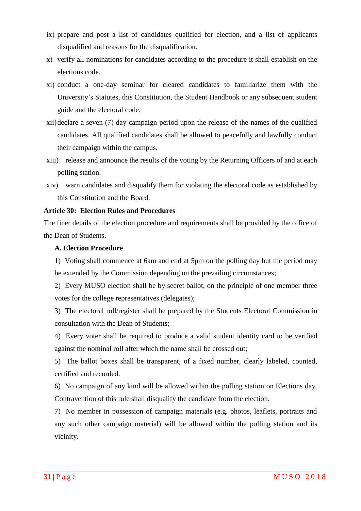- ix) prepare and post a list of candidates qualified for election, and a list of applicants disqualified and reasons for the disqualification.
- x) verify all nominations for candidates according to the procedure it shall establish on the elections code.
- xi) conduct a one-day seminar for cleared candidates to familiarize them with the University"s Statutes, this Constitution, the Student Handbook or any subsequent student guide and the electoral code.
- xii)declare a seven (7) day campaign period upon the release of the names of the qualified candidates. All qualified candidates shall be allowed to peacefully and lawfully conduct their campaign within the campus.
- xiii) release and announce the results of the voting by the Returning Officers of and at each polling station.
- xiv) warn candidates and disqualify them for violating the electoral code as established by this Constitution and the Board.

#### <span id="page-31-0"></span>**Article 30: Election Rules and Procedures**

The finer details of the election procedure and requirements shall be provided by the office of the Dean of Students.

#### **A. Election Procedure**

1) Voting shall commence at 6am and end at 5pm on the polling day but the period may be extended by the Commission depending on the prevailing circumstances;

2) Every MUSO election shall be by secret ballot, on the principle of one member three votes for the college representatives (delegates);

3) The electoral roll/register shall be prepared by the Students Electoral Commission in consultation with the Dean of Students;

4) Every voter shall be required to produce a valid student identity card to be verified against the nominal roll after which the name shall be crossed out;

5) The ballot boxes shall be transparent, of a fixed number, clearly labeled, counted, certified and recorded.

6) No campaign of any kind will be allowed within the polling station on Elections day. Contravention of this rule shall disqualify the candidate from the election.

7) No member in possession of campaign materials (e.g. photos, leaflets, portraits and any such other campaign material) will be allowed within the polling station and its vicinity.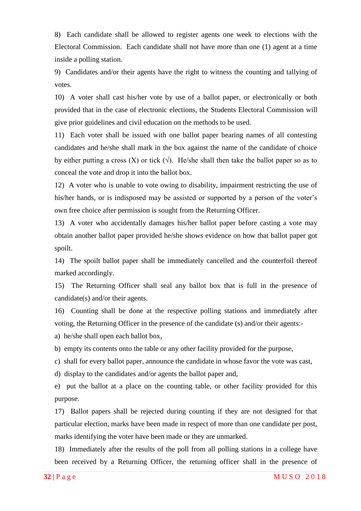8) Each candidate shall be allowed to register agents one week to elections with the Electoral Commission. Each candidate shall not have more than one (1) agent at a time inside a polling station.

9) Candidates and/or their agents have the right to witness the counting and tallying of votes.

10) A voter shall cast his/her vote by use of a ballot paper, or electronically or both provided that in the case of electronic elections, the Students Electoral Commission will give prior guidelines and civil education on the methods to be used.

11) Each voter shall be issued with one ballot paper bearing names of all contesting candidates and he/she shall mark in the box against the name of the candidate of choice by either putting a cross (X) or tick ( $\sqrt{ }$ ). He/she shall then take the ballot paper so as to conceal the vote and drop it into the ballot box.

12) A voter who is unable to vote owing to disability, impairment restricting the use of his/her hands, or is indisposed may be assisted or supported by a person of the voter's own free choice after permission is sought from the Returning Officer.

13) A voter who accidentally damages his/her ballot paper before casting a vote may obtain another ballot paper provided he/she shows evidence on how that ballot paper got spoilt.

14) The spoilt ballot paper shall be immediately cancelled and the counterfoil thereof marked accordingly.

15) The Returning Officer shall seal any ballot box that is full in the presence of candidate(s) and/or their agents.

16) Counting shall be done at the respective polling stations and immediately after voting, the Returning Officer in the presence of the candidate (s) and/or their agents:-

a) he/she shall open each ballot box,

b) empty its contents onto the table or any other facility provided for the purpose,

c) shall for every ballot paper, announce the candidate in whose favor the vote was cast,

d) display to the candidates and/or agents the ballot paper and,

e) put the ballot at a place on the counting table, or other facility provided for this purpose.

17) Ballot papers shall be rejected during counting if they are not designed for that particular election, marks have been made in respect of more than one candidate per post, marks identifying the voter have been made or they are unmarked.

18) Immediately after the results of the poll from all polling stations in a college have been received by a Returning Officer, the returning officer shall in the presence of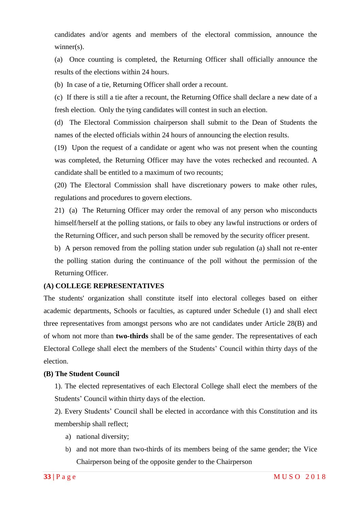candidates and/or agents and members of the electoral commission, announce the winner(s).

(a) Once counting is completed, the Returning Officer shall officially announce the results of the elections within 24 hours.

(b) In case of a tie, Returning Officer shall order a recount.

(c) If there is still a tie after a recount, the Returning Office shall declare a new date of a fresh election. Only the tying candidates will contest in such an election.

(d) The Electoral Commission chairperson shall submit to the Dean of Students the names of the elected officials within 24 hours of announcing the election results.

(19) Upon the request of a candidate or agent who was not present when the counting was completed, the Returning Officer may have the votes rechecked and recounted. A candidate shall be entitled to a maximum of two recounts;

(20) The Electoral Commission shall have discretionary powers to make other rules, regulations and procedures to govern elections.

21) (a) The Returning Officer may order the removal of any person who misconducts himself/herself at the polling stations, or fails to obey any lawful instructions or orders of the Returning Officer, and such person shall be removed by the security officer present.

b) A person removed from the polling station under sub regulation (a) shall not re-enter the polling station during the continuance of the poll without the permission of the Returning Officer.

#### **(A) COLLEGE REPRESENTATIVES**

The students' organization shall constitute itself into electoral colleges based on either academic departments, Schools or faculties, as captured under Schedule (1) and shall elect three representatives from amongst persons who are not candidates under Article 28(B) and of whom not more than **two-thirds** shall be of the same gender. The representatives of each Electoral College shall elect the members of the Students" Council within thirty days of the election.

#### **(B) The Student Council**

1). The elected representatives of each Electoral College shall elect the members of the Students' Council within thirty days of the election.

2). Every Students" Council shall be elected in accordance with this Constitution and its membership shall reflect;

- a) national diversity;
- b) and not more than two-thirds of its members being of the same gender; the Vice Chairperson being of the opposite gender to the Chairperson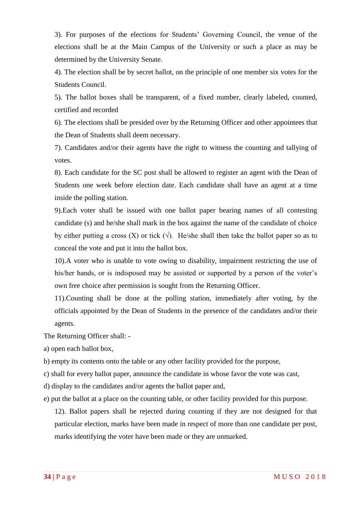3). For purposes of the elections for Students" Governing Council, the venue of the elections shall be at the Main Campus of the University or such a place as may be determined by the University Senate.

4). The election shall be by secret ballot, on the principle of one member six votes for the Students Council.

5). The ballot boxes shall be transparent, of a fixed number, clearly labeled, counted, certified and recorded

6). The elections shall be presided over by the Returning Officer and other appointees that the Dean of Students shall deem necessary.

7). Candidates and/or their agents have the right to witness the counting and tallying of votes.

8). Each candidate for the SC post shall be allowed to register an agent with the Dean of Students one week before election date. Each candidate shall have an agent at a time inside the polling station.

9).Each voter shall be issued with one ballot paper bearing names of all contesting candidate (s) and he/she shall mark in the box against the name of the candidate of choice by either putting a cross  $(X)$  or tick  $(\sqrt{)}$ . He/she shall then take the ballot paper so as to conceal the vote and put it into the ballot box.

10).A voter who is unable to vote owing to disability, impairment restricting the use of his/her hands, or is indisposed may be assisted or supported by a person of the voter's own free choice after permission is sought from the Returning Officer.

11).Counting shall be done at the polling station, immediately after voting, by the officials appointed by the Dean of Students in the presence of the candidates and/or their agents.

The Returning Officer shall: -

a) open each ballot box,

b) empty its contents onto the table or any other facility provided for the purpose,

c) shall for every ballot paper, announce the candidate in whose favor the vote was cast,

d) display to the candidates and/or agents the ballot paper and,

e) put the ballot at a place on the counting table, or other facility provided for this purpose.

12). Ballot papers shall be rejected during counting if they are not designed for that particular election, marks have been made in respect of more than one candidate per post, marks identifying the voter have been made or they are unmarked.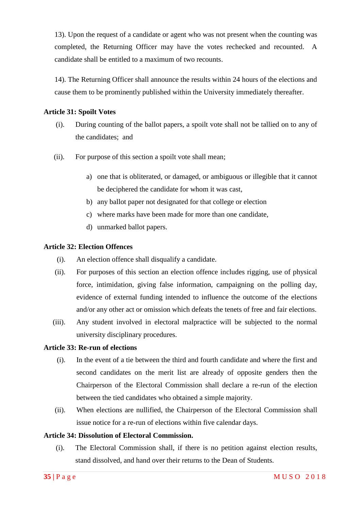13). Upon the request of a candidate or agent who was not present when the counting was completed, the Returning Officer may have the votes rechecked and recounted. A candidate shall be entitled to a maximum of two recounts.

14). The Returning Officer shall announce the results within 24 hours of the elections and cause them to be prominently published within the University immediately thereafter.

## <span id="page-35-0"></span>**Article 31: Spoilt Votes**

- (i). During counting of the ballot papers, a spoilt vote shall not be tallied on to any of the candidates; and
- (ii). For purpose of this section a spoilt vote shall mean;
	- a) one that is obliterated, or damaged, or ambiguous or illegible that it cannot be deciphered the candidate for whom it was cast,
	- b) any ballot paper not designated for that college or election
	- c) where marks have been made for more than one candidate,
	- d) unmarked ballot papers.

#### <span id="page-35-1"></span>**Article 32: Election Offences**

- (i). An election offence shall disqualify a candidate.
- (ii). For purposes of this section an election offence includes rigging, use of physical force, intimidation, giving false information, campaigning on the polling day, evidence of external funding intended to influence the outcome of the elections and/or any other act or omission which defeats the tenets of free and fair elections.
- (iii). Any student involved in electoral malpractice will be subjected to the normal university disciplinary procedures.

#### <span id="page-35-2"></span>**Article 33: Re-run of elections**

- (i). In the event of a tie between the third and fourth candidate and where the first and second candidates on the merit list are already of opposite genders then the Chairperson of the Electoral Commission shall declare a re-run of the election between the tied candidates who obtained a simple majority.
- (ii). When elections are nullified, the Chairperson of the Electoral Commission shall issue notice for a re-run of elections within five calendar days.

#### <span id="page-35-3"></span>**Article 34: Dissolution of Electoral Commission.**

(i). The Electoral Commission shall, if there is no petition against election results, stand dissolved, and hand over their returns to the Dean of Students.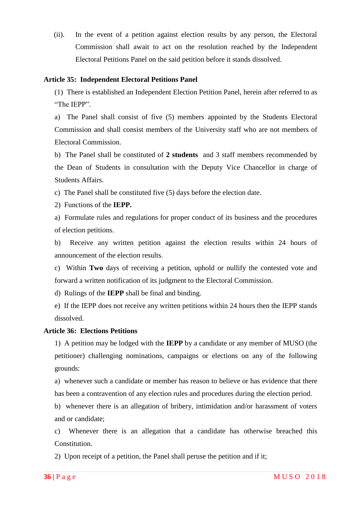(ii). In the event of a petition against election results by any person, the Electoral Commission shall await to act on the resolution reached by the Independent Electoral Petitions Panel on the said petition before it stands dissolved.

#### <span id="page-36-0"></span>**Article 35: Independent Electoral Petitions Panel**

(1) There is established an Independent Election Petition Panel, herein after referred to as "The IEPP".

a) The Panel shall consist of five (5) members appointed by the Students Electoral Commission and shall consist members of the University staff who are not members of Electoral Commission.

b) The Panel shall be constituted of **2 students** and 3 staff members recommended by the Dean of Students in consultation with the Deputy Vice Chancellor in charge of Students Affairs.

c) The Panel shall be constituted five (5) days before the election date.

2) Functions of the **IEPP.**

a) Formulate rules and regulations for proper conduct of its business and the procedures of election petitions.

b) Receive any written petition against the election results within 24 hours of announcement of the election results.

c) Within **Two** days of receiving a petition, uphold or nullify the contested vote and forward a written notification of its judgment to the Electoral Commission.

d) Rulings of the **IEPP** shall be final and binding.

e) If the IEPP does not receive any written petitions within 24 hours then the IEPP stands dissolved.

## <span id="page-36-1"></span>**Article 36: Elections Petitions**

1) A petition may be lodged with the **IEPP** by a candidate or any member of MUSO (the petitioner) challenging nominations, campaigns or elections on any of the following grounds:

a) whenever such a candidate or member has reason to believe or has evidence that there has been a contravention of any election rules and procedures during the election period.

b) whenever there is an allegation of bribery, intimidation and/or harassment of voters and or candidate;

c) Whenever there is an allegation that a candidate has otherwise breached this Constitution.

2) Upon receipt of a petition, the Panel shall peruse the petition and if it;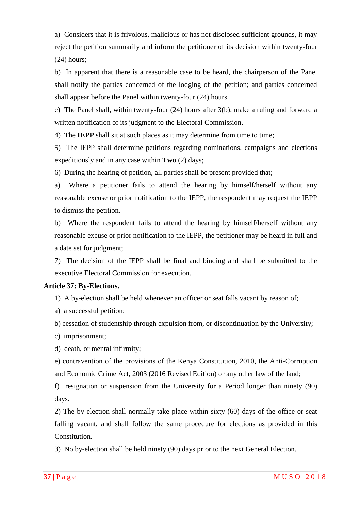a) Considers that it is frivolous, malicious or has not disclosed sufficient grounds, it may reject the petition summarily and inform the petitioner of its decision within twenty-four (24) hours;

b) In apparent that there is a reasonable case to be heard, the chairperson of the Panel shall notify the parties concerned of the lodging of the petition; and parties concerned shall appear before the Panel within twenty-four (24) hours.

c) The Panel shall, within twenty-four (24) hours after 3(b), make a ruling and forward a written notification of its judgment to the Electoral Commission.

4) The **IEPP** shall sit at such places as it may determine from time to time;

5) The IEPP shall determine petitions regarding nominations, campaigns and elections expeditiously and in any case within **Two** (2) days;

6) During the hearing of petition, all parties shall be present provided that;

a) Where a petitioner fails to attend the hearing by himself/herself without any reasonable excuse or prior notification to the IEPP, the respondent may request the IEPP to dismiss the petition.

b) Where the respondent fails to attend the hearing by himself/herself without any reasonable excuse or prior notification to the IEPP, the petitioner may be heard in full and a date set for judgment;

7) The decision of the IEPP shall be final and binding and shall be submitted to the executive Electoral Commission for execution.

#### <span id="page-37-0"></span>**Article 37: By-Elections.**

1) A by-election shall be held whenever an officer or seat falls vacant by reason of;

a) a successful petition;

b) cessation of studentship through expulsion from, or discontinuation by the University;

- c) imprisonment;
- d) death, or mental infirmity;

e) contravention of the provisions of the Kenya Constitution, 2010, the Anti-Corruption and Economic Crime Act, 2003 (2016 Revised Edition) or any other law of the land;

f) resignation or suspension from the University for a Period longer than ninety (90) days.

2) The by-election shall normally take place within sixty (60) days of the office or seat falling vacant, and shall follow the same procedure for elections as provided in this Constitution.

3) No by-election shall be held ninety (90) days prior to the next General Election.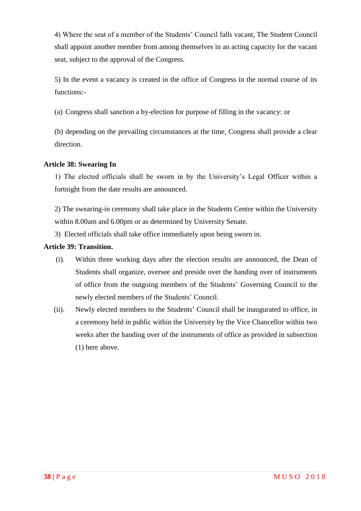4) Where the seat of a member of the Students" Council falls vacant, The Student Council shall appoint another member from among themselves in an acting capacity for the vacant seat, subject to the approval of the Congress.

5) In the event a vacancy is created in the office of Congress in the normal course of its functions:-

(a) Congress shall sanction a by-election for purpose of filling in the vacancy: or

(b) depending on the prevailing circumstances at the time, Congress shall provide a clear direction.

## <span id="page-38-0"></span>**Article 38: Swearing In**

1) The elected officials shall be sworn in by the University"s Legal Officer within a fortnight from the date results are announced.

2) The swearing-in ceremony shall take place in the Students Centre within the University within 8.00am and 6.00pm or as determined by University Senate.

3) Elected officials shall take office immediately upon being sworn in.

## <span id="page-38-1"></span>**Article 39: Transition.**

- (i). Within three working days after the election results are announced, the Dean of Students shall organize, oversee and preside over the handing over of instruments of office from the outgoing members of the Students" Governing Council to the newly elected members of the Students" Council.
- (ii). Newly elected members to the Students" Council shall be inaugurated to office, in a ceremony held in public within the University by the Vice Chancellor within two weeks after the handing over of the instruments of office as provided in subsection (1) here above.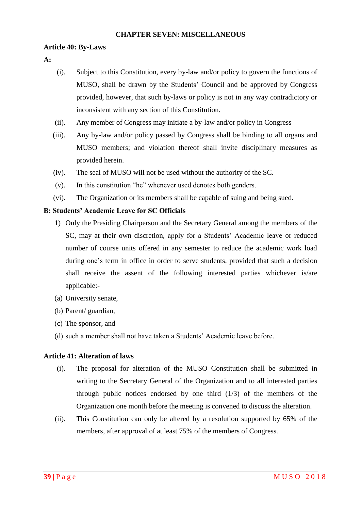#### **CHAPTER SEVEN: MISCELLANEOUS**

## <span id="page-39-1"></span><span id="page-39-0"></span>**Article 40: By-Laws**

#### **A:**

- (i). Subject to this Constitution, every by-law and/or policy to govern the functions of MUSO, shall be drawn by the Students" Council and be approved by Congress provided, however, that such by-laws or policy is not in any way contradictory or inconsistent with any section of this Constitution.
- (ii). Any member of Congress may initiate a by-law and/or policy in Congress
- (iii). Any by-law and/or policy passed by Congress shall be binding to all organs and MUSO members; and violation thereof shall invite disciplinary measures as provided herein.
- (iv). The seal of MUSO will not be used without the authority of the SC.
- (v). In this constitution "he" whenever used denotes both genders.
- (vi). The Organization or its members shall be capable of suing and being sued.

## **B: Students' Academic Leave for SC Officials**

- 1) Only the Presiding Chairperson and the Secretary General among the members of the SC, may at their own discretion, apply for a Students' Academic leave or reduced number of course units offered in any semester to reduce the academic work load during one's term in office in order to serve students, provided that such a decision shall receive the assent of the following interested parties whichever is/are applicable:-
- (a) University senate,
- (b) Parent/ guardian,
- (c) The sponsor, and
- (d) such a member shall not have taken a Students" Academic leave before.

## <span id="page-39-2"></span>**Article 41: Alteration of laws**

- (i). The proposal for alteration of the MUSO Constitution shall be submitted in writing to the Secretary General of the Organization and to all interested parties through public notices endorsed by one third  $(1/3)$  of the members of the Organization one month before the meeting is convened to discuss the alteration.
- (ii). This Constitution can only be altered by a resolution supported by 65% of the members, after approval of at least 75% of the members of Congress.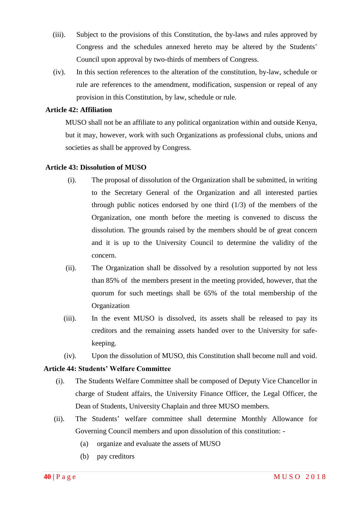- (iii). Subject to the provisions of this Constitution, the by-laws and rules approved by Congress and the schedules annexed hereto may be altered by the Students' Council upon approval by two-thirds of members of Congress.
- (iv). In this section references to the alteration of the constitution, by-law, schedule or rule are references to the amendment, modification, suspension or repeal of any provision in this Constitution, by law, schedule or rule.

## <span id="page-40-0"></span>**Article 42: Affiliation**

MUSO shall not be an affiliate to any political organization within and outside Kenya, but it may, however, work with such Organizations as professional clubs, unions and societies as shall be approved by Congress.

#### <span id="page-40-1"></span>**Article 43: Dissolution of MUSO**

- (i). The proposal of dissolution of the Organization shall be submitted, in writing to the Secretary General of the Organization and all interested parties through public notices endorsed by one third  $(1/3)$  of the members of the Organization, one month before the meeting is convened to discuss the dissolution. The grounds raised by the members should be of great concern and it is up to the University Council to determine the validity of the concern.
- (ii). The Organization shall be dissolved by a resolution supported by not less than 85% of the members present in the meeting provided, however, that the quorum for such meetings shall be 65% of the total membership of the **Organization**
- (iii). In the event MUSO is dissolved, its assets shall be released to pay its creditors and the remaining assets handed over to the University for safekeeping.
- (iv). Upon the dissolution of MUSO, this Constitution shall become null and void.

#### <span id="page-40-2"></span>**Article 44: Students' Welfare Committee**

- (i). The Students Welfare Committee shall be composed of Deputy Vice Chancellor in charge of Student affairs, the University Finance Officer, the Legal Officer, the Dean of Students, University Chaplain and three MUSO members.
- (ii). The Students" welfare committee shall determine Monthly Allowance for Governing Council members and upon dissolution of this constitution: -
	- (a) organize and evaluate the assets of MUSO
	- (b) pay creditors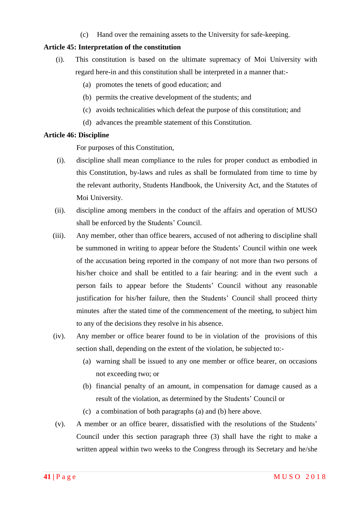(c) Hand over the remaining assets to the University for safe-keeping.

#### <span id="page-41-0"></span>**Article 45: Interpretation of the constitution**

- (i). This constitution is based on the ultimate supremacy of Moi University with regard here-in and this constitution shall be interpreted in a manner that:-
	- (a) promotes the tenets of good education; and
	- (b) permits the creative development of the students; and
	- (c) avoids technicalities which defeat the purpose of this constitution; and
	- (d) advances the preamble statement of this Constitution.

#### <span id="page-41-1"></span>**Article 46: Discipline**

For purposes of this Constitution,

- (i). discipline shall mean compliance to the rules for proper conduct as embodied in this Constitution, by-laws and rules as shall be formulated from time to time by the relevant authority, Students Handbook, the University Act, and the Statutes of Moi University.
- (ii). discipline among members in the conduct of the affairs and operation of MUSO shall be enforced by the Students' Council.
- (iii). Any member, other than office bearers, accused of not adhering to discipline shall be summoned in writing to appear before the Students" Council within one week of the accusation being reported in the company of not more than two persons of his/her choice and shall be entitled to a fair hearing: and in the event such a person fails to appear before the Students" Council without any reasonable justification for his/her failure, then the Students' Council shall proceed thirty minutes after the stated time of the commencement of the meeting, to subject him to any of the decisions they resolve in his absence.
- (iv). Any member or office bearer found to be in violation of the provisions of this section shall, depending on the extent of the violation, be subjected to:-
	- (a) warning shall be issued to any one member or office bearer, on occasions not exceeding two; or
	- (b) financial penalty of an amount, in compensation for damage caused as a result of the violation, as determined by the Students' Council or
	- (c) a combination of both paragraphs (a) and (b) here above.
- (v). A member or an office bearer, dissatisfied with the resolutions of the Students" Council under this section paragraph three (3) shall have the right to make a written appeal within two weeks to the Congress through its Secretary and he/she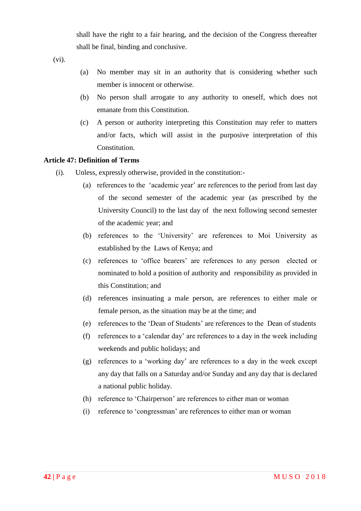shall have the right to a fair hearing, and the decision of the Congress thereafter shall be final, binding and conclusive.

(vi).

- (a) No member may sit in an authority that is considering whether such member is innocent or otherwise.
- (b) No person shall arrogate to any authority to oneself, which does not emanate from this Constitution.
- (c) A person or authority interpreting this Constitution may refer to matters and/or facts, which will assist in the purposive interpretation of this Constitution.

#### <span id="page-42-0"></span>**Article 47: Definition of Terms**

- (i). Unless, expressly otherwise, provided in the constitution:-
	- (a) references to the "academic year" are references to the period from last day of the second semester of the academic year (as prescribed by the University Council) to the last day of the next following second semester of the academic year; and
	- (b) references to the "University" are references to Moi University as established by the Laws of Kenya; and
	- (c) references to "office bearers" are references to any person elected or nominated to hold a position of authority and responsibility as provided in this Constitution; and
	- (d) references insinuating a male person, are references to either male or female person, as the situation may be at the time; and
	- (e) references to the "Dean of Students" are references to the Dean of students
	- (f) references to a "calendar day" are references to a day in the week including weekends and public holidays; and
	- (g) references to a "working day" are references to a day in the week except any day that falls on a Saturday and/or Sunday and any day that is declared a national public holiday.
	- (h) reference to "Chairperson" are references to either man or woman
	- (i) reference to "congressman" are references to either man or woman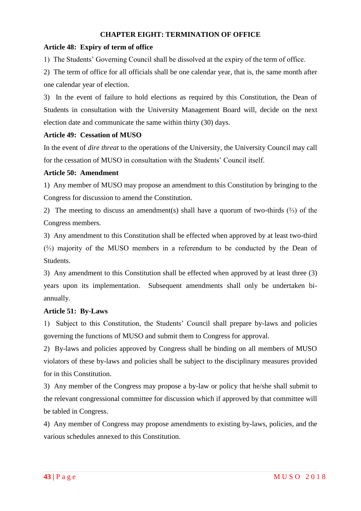## **CHAPTER EIGHT: TERMINATION OF OFFICE**

#### <span id="page-43-1"></span><span id="page-43-0"></span>**Article 48: Expiry of term of office**

1) The Students" Governing Council shall be dissolved at the expiry of the term of office.

2) The term of office for all officials shall be one calendar year, that is, the same month after one calendar year of election.

3) In the event of failure to hold elections as required by this Constitution, the Dean of Students in consultation with the University Management Board will, decide on the next election date and communicate the same within thirty (30) days.

#### <span id="page-43-2"></span>**Article 49: Cessation of MUSO**

In the event of *dire threat* to the operations of the University, the University Council may call for the cessation of MUSO in consultation with the Students" Council itself.

#### <span id="page-43-3"></span>**Article 50: Amendment**

1) Any member of MUSO may propose an amendment to this Constitution by bringing to the Congress for discussion to amend the Constitution.

2) The meeting to discuss an amendment(s) shall have a quorum of two-thirds (⅔) of the Congress members.

3) Any amendment to this Constitution shall be effected when approved by at least two-third (⅔) majority of the MUSO members in a referendum to be conducted by the Dean of Students.

3) Any amendment to this Constitution shall be effected when approved by at least three (3) years upon its implementation. Subsequent amendments shall only be undertaken biannually.

## <span id="page-43-4"></span>**Article 51: By-Laws**

1) Subject to this Constitution, the Students" Council shall prepare by-laws and policies governing the functions of MUSO and submit them to Congress for approval.

2) By-laws and policies approved by Congress shall be binding on all members of MUSO violators of these by-laws and policies shall be subject to the disciplinary measures provided for in this Constitution.

3) Any member of the Congress may propose a by-law or policy that he/she shall submit to the relevant congressional committee for discussion which if approved by that committee will be tabled in Congress.

4) Any member of Congress may propose amendments to existing by-laws, policies, and the various schedules annexed to this Constitution.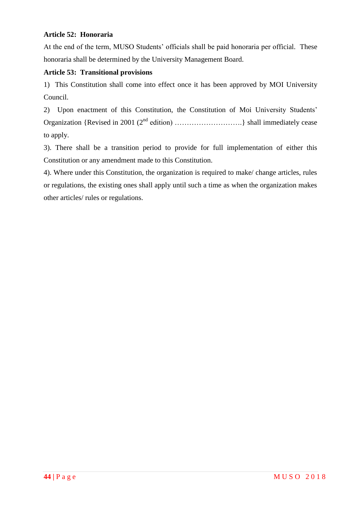## <span id="page-44-0"></span>**Article 52: Honoraria**

At the end of the term, MUSO Students' officials shall be paid honoraria per official. These honoraria shall be determined by the University Management Board.

## <span id="page-44-1"></span>**Article 53: Transitional provisions**

1) This Constitution shall come into effect once it has been approved by MOI University Council.

2) Upon enactment of this Constitution, the Constitution of Moi University Students" Organization {Revised in 2001 ( $2<sup>nd</sup>$  edition) ……………………………………} shall immediately cease to apply.

3). There shall be a transition period to provide for full implementation of either this Constitution or any amendment made to this Constitution.

4). Where under this Constitution, the organization is required to make/ change articles, rules or regulations, the existing ones shall apply until such a time as when the organization makes other articles/ rules or regulations.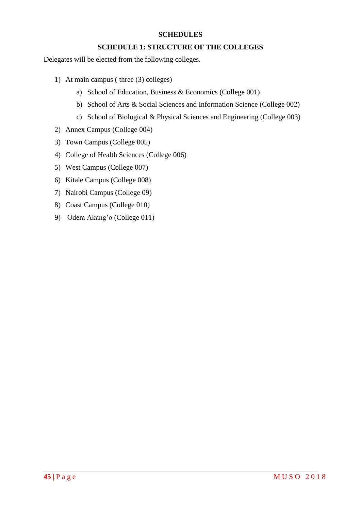#### **SCHEDULES**

#### **SCHEDULE 1: STRUCTURE OF THE COLLEGES**

<span id="page-45-1"></span><span id="page-45-0"></span>Delegates will be elected from the following colleges.

- 1) At main campus ( three (3) colleges)
	- a) School of Education, Business & Economics (College 001)
	- b) School of Arts & Social Sciences and Information Science (College 002)
	- c) School of Biological & Physical Sciences and Engineering (College 003)
- 2) Annex Campus (College 004)
- 3) Town Campus (College 005)
- 4) College of Health Sciences (College 006)
- 5) West Campus (College 007)
- 6) Kitale Campus (College 008)
- 7) Nairobi Campus (College 09)
- 8) Coast Campus (College 010)
- 9) Odera Akang"o (College 011)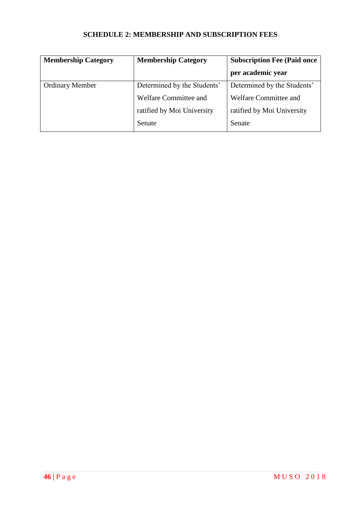# **SCHEDULE 2: MEMBERSHIP AND SUBSCRIPTION FEES**

<span id="page-46-0"></span>

| <b>Membership Category</b> | <b>Membership Category</b>  | <b>Subscription Fee (Paid once)</b> |  |
|----------------------------|-----------------------------|-------------------------------------|--|
|                            |                             | per academic year                   |  |
| <b>Ordinary Member</b>     | Determined by the Students' | Determined by the Students'         |  |
|                            | Welfare Committee and       | Welfare Committee and               |  |
|                            | ratified by Moi University  | ratified by Moi University          |  |
|                            | Senate                      | Senate                              |  |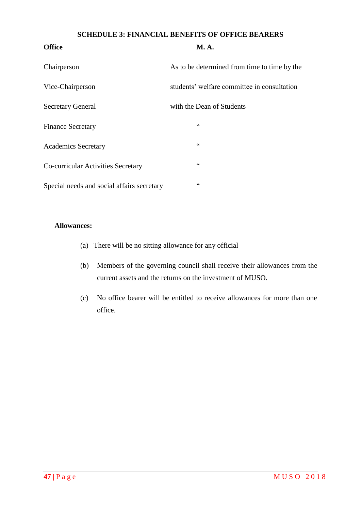#### **SCHEDULE 3: FINANCIAL BENEFITS OF OFFICE BEARERS**

<span id="page-47-0"></span>

| <b>Office</b>                              | <b>M.A.</b>                                  |
|--------------------------------------------|----------------------------------------------|
| Chairperson                                | As to be determined from time to time by the |
| Vice-Chairperson                           | students' welfare committee in consultation  |
| <b>Secretary General</b>                   | with the Dean of Students                    |
| <b>Finance Secretary</b>                   | $\zeta\,\zeta$                               |
| <b>Academics Secretary</b>                 | $\zeta$ $\zeta$                              |
| Co-curricular Activities Secretary         | cc                                           |
| Special needs and social affairs secretary | $\zeta$ $\zeta$                              |

## **Allowances:**

- (a) There will be no sitting allowance for any official
- (b) Members of the governing council shall receive their allowances from the current assets and the returns on the investment of MUSO.
- (c) No office bearer will be entitled to receive allowances for more than one office.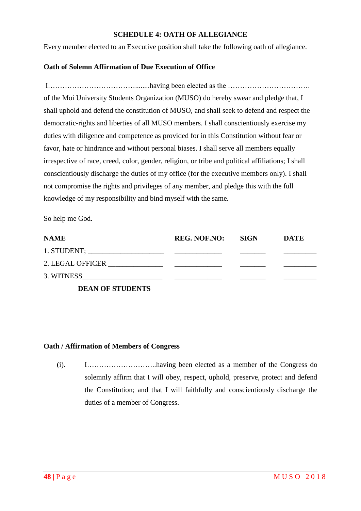#### **SCHEDULE 4: OATH OF ALLEGIANCE**

<span id="page-48-0"></span>Every member elected to an Executive position shall take the following oath of allegiance.

## **Oath of Solemn Affirmation of Due Execution of Office**

I………………………………........having been elected as the ……………………………. of the Moi University Students Organization (MUSO) do hereby swear and pledge that, I shall uphold and defend the constitution of MUSO, and shall seek to defend and respect the democratic-rights and liberties of all MUSO members. I shall conscientiously exercise my duties with diligence and competence as provided for in this Constitution without fear or favor, hate or hindrance and without personal biases. I shall serve all members equally irrespective of race, creed, color, gender, religion, or tribe and political affiliations; I shall conscientiously discharge the duties of my office (for the executive members only). I shall not compromise the rights and privileges of any member, and pledge this with the full knowledge of my responsibility and bind myself with the same.

So help me God.

| <b>NAME</b> | REG. NOF.NO: SIGN | <b>DATE</b> |
|-------------|-------------------|-------------|
|             |                   |             |
|             |                   |             |
| 3. WITNESS  |                   |             |
|             |                   |             |

**DEAN OF STUDENTS**

## **Oath / Affirmation of Members of Congress**

(i). I………………………..having been elected as a member of the Congress do solemnly affirm that I will obey, respect, uphold, preserve, protect and defend the Constitution; and that I will faithfully and conscientiously discharge the duties of a member of Congress.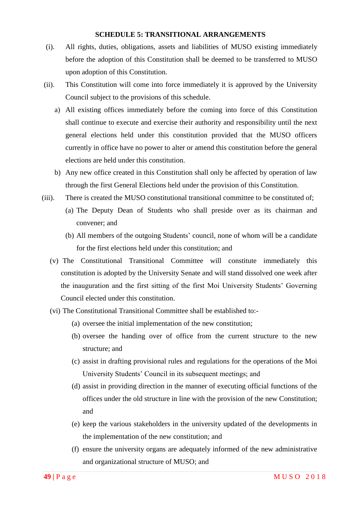#### **SCHEDULE 5: TRANSITIONAL ARRANGEMENTS**

- <span id="page-49-0"></span>(i). All rights, duties, obligations, assets and liabilities of MUSO existing immediately before the adoption of this Constitution shall be deemed to be transferred to MUSO upon adoption of this Constitution.
- (ii). This Constitution will come into force immediately it is approved by the University Council subject to the provisions of this schedule.
	- a) All existing offices immediately before the coming into force of this Constitution shall continue to execute and exercise their authority and responsibility until the next general elections held under this constitution provided that the MUSO officers currently in office have no power to alter or amend this constitution before the general elections are held under this constitution.
	- b) Any new office created in this Constitution shall only be affected by operation of law through the first General Elections held under the provision of this Constitution.
- (iii). There is created the MUSO constitutional transitional committee to be constituted of;
	- (a) The Deputy Dean of Students who shall preside over as its chairman and convener; and
	- (b) All members of the outgoing Students" council, none of whom will be a candidate for the first elections held under this constitution; and
	- (v) The Constitutional Transitional Committee will constitute immediately this constitution is adopted by the University Senate and will stand dissolved one week after the inauguration and the first sitting of the first Moi University Students" Governing Council elected under this constitution.
	- (vi) The Constitutional Transitional Committee shall be established to:-
		- (a) oversee the initial implementation of the new constitution;
		- (b) oversee the handing over of office from the current structure to the new structure; and
		- (c) assist in drafting provisional rules and regulations for the operations of the Moi University Students" Council in its subsequent meetings; and
		- (d) assist in providing direction in the manner of executing official functions of the offices under the old structure in line with the provision of the new Constitution; and
		- (e) keep the various stakeholders in the university updated of the developments in the implementation of the new constitution; and
		- (f) ensure the university organs are adequately informed of the new administrative and organizational structure of MUSO; and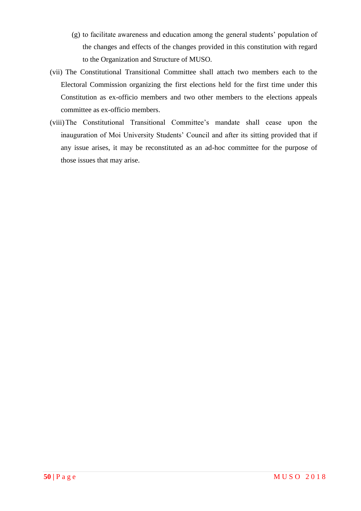- (g) to facilitate awareness and education among the general students" population of the changes and effects of the changes provided in this constitution with regard to the Organization and Structure of MUSO.
- (vii) The Constitutional Transitional Committee shall attach two members each to the Electoral Commission organizing the first elections held for the first time under this Constitution as ex-officio members and two other members to the elections appeals committee as ex-officio members.
- (viii)The Constitutional Transitional Committee"s mandate shall cease upon the inauguration of Moi University Students' Council and after its sitting provided that if any issue arises, it may be reconstituted as an ad-hoc committee for the purpose of those issues that may arise.